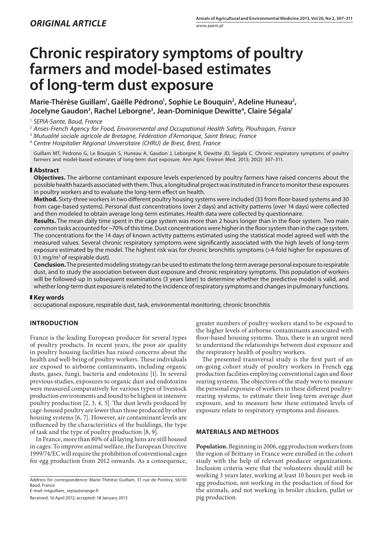# **Chronic respiratory symptoms of poultry farmers and model-based estimates of long-term dust exposure**

Marie-Thérèse Guillam<sup>1</sup>, Gaëlle Pédrono<sup>1</sup>, Sophie Le Bouquin<sup>2</sup>, Adeline Huneau<sup>2</sup>, **Jocelyne Gaudon3 , Rachel Leborgne3 , Jean-Dominique Dewitte4 , Claire Ségala1**

1  *SEPIA-Sante, Baud, France*

2  *Anses-French Agency for Food, Environmental and Occupational Health Safety, Ploufragan, France*

3  *Mutualité sociale agricole de Bretagne, Fédération d'Armorique, Saint Brieuc, France*

4  *Centre Hospitalier Régional Universitaire (CHRU) de Brest, Brest, France*

Guillam MT, Pedrono G, Le Bouquin S, Huneau A, Gaudon J, Leborgne R, Dewitte JD, Segala C. Chronic respiratory symptoms of poultry farmers and model-based estimates of long-term dust exposure. Ann Agric Environ Med. 2013; 20(2): 307–311.

## **Abstract**

**Objectives.** The airborne contaminant exposure levels experienced by poultry farmers have raised concerns about the possible health hazards associated with them. Thus, a longitudinal project was instituted in France to monitor these exposures in poultry workers and to evaluate the long-term effect on health.

**Method.** Sixty-three workers in two different poultry housing systems were included (33 from floor-based systems and 30 from cage-based systems). Personal dust concentrations (over 2 days) and activity patterns (over 14 days) were collected and then modeled to obtain average long-term estimates. Health data were collected by questionnaire.

**Results.** The mean daily time spent in the cage system was more than 2 hours longer than in the floor system. Two main common tasks accounted for ~70% of this time. Dust concentrations were higher in the floor system than in the cage system. The concentrations for the 14 days of known activity patterns estimated using the statistical model agreed well with the measured values. Several chronic respiratory symptoms were significantly associated with the high levels of long-term exposure estimated by the model. The highest risk was for chronic bronchitis symptoms (>4-fold higher for exposures of 0.1 mg/m<sup>3</sup> of respirable dust).

**Conclusion.** The presented modeling strategy can be used to estimate the long-term average personal exposure to respirable dust, and to study the association between dust exposure and chronic respiratory symptoms. This population of workers will be followed-up in subsequent examinations (3 years later) to determine whether the predictive model is valid, and whether long-term dust exposure is related to the incidence of respiratory symptoms and changes in pulmonary functions.

## **Key words**

occupational exposure, respirable dust, task, environmental monitoring, chronic bronchitis

## **INTRODUCTION**

France is the leading European producer for several types of poultry products. In recent years, the poor air quality in poultry housing facilities has raised concerns about the health and well-being of poultry workers. These individuals are exposed to airborne contaminants, including organic dusts, gases, fungi, bacteria and endotoxins [1]. In several previous studies, exposures to organic dust and endotoxins were measured comparatively for various types of livestock production environments and found to be highest in intensive poultry production [2, 3, 4, 5]. The dust levels produced by cage-housed poultry are lower than those produced by other housing systems [6, 7]. However, air contaminant levels are influenced by the characteristics of the buildings, the type of task and the type of poultry production [8, 9].

In France, more than 80% of all laying hens are still housed in cages. To improve animal welfare, the European Directive 1999/74/EC will require the prohibition of conventional cages for egg production from 2012 onwards. As a consequence,

Address for correspondence: Marie-Thérèse Guillam, 31 rue de Pontivy, 56150 Baud, France

E-mail: mtguillam\_sepia@orange.fr

Received: 16 April 2012; accepted: 18 January 2013

greater numbers of poultry workers stand to be exposed to the higher levels of airborne contaminants associated with floor-based housing systems. Thus, there is an urgent need to understand the relationships between dust exposure and the respiratory health of poultry workers.

The presented transversal study is the first part of an on-going cohort study of poultry workers in French egg production facilities employing conventional cages and floor rearing systems. The objectives of the study were to measure the personal exposure of workers in these different poultryrearing systems, to estimate their long-term average dust exposure, and to measure how these estimated levels of exposure relate to respiratory symptoms and diseases.

#### **Materials and methods**

**Population.** Beginning in 2006, egg production workers from the region of Brittany in France were enrolled in the cohort study with the help of relevant producer organizations. Inclusion criteria were that the volunteers should still be working 3 years later, working at least 10 hours per week in egg production, not working in the production of food for the animals, and not working in broiler chicken, pullet or pig production.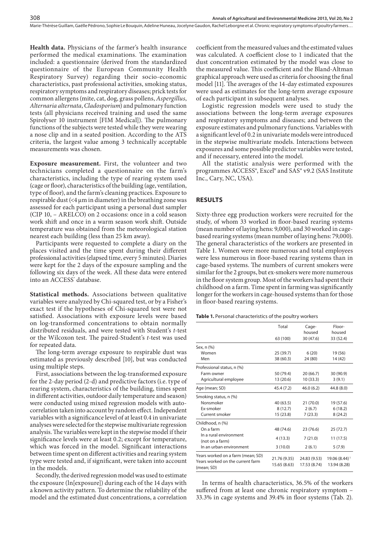**Health data.** Physicians of the farmer's health insurance performed the medical examinations. The examination included: a questionnaire (derived from the standardized questionnaire of the European Community Health Respiratory Survey) regarding their socio-economic characteristics, past professional activities, smoking status, respiratory symptoms and respiratory diseases; prick tests for common allergens (mite, cat, dog, grass pollens, *Aspergillus*, *Alternaria alternata*, *Cladosporium*) and pulmonary function tests (all physicians received training and used the same Spirolyser 10 instrument [FIM Medical]). The pulmonary functions of the subjects were tested while they were wearing a nose clip and in a seated position. According to the ATS criteria, the largest value among 3 technically acceptable measurements was chosen.

**Exposure measurement.** First, the volunteer and two technicians completed a questionnaire on the farm's characteristics, including the type of rearing system used (cage or floor), characteristics of the building (age, ventilation, type of floor), and the farm's cleaning practices. Exposure to respirable dust  $($  <4  $\mu$ m in diameter) in the breathing zone was assessed for each participant using a personal dust sampler (CIP 10, – ARELCO) on 2 occasions: once in a cold season work shift and once in a warm season work shift. Outside temperature was obtained from the meteorological station nearest each building (less than 25 km away).

Participants were requested to complete a diary on the places visited and the time spent during their different professional activities (elapsed time, every 5 minutes). Diaries were kept for the 2 days of the exposure sampling and the following six days of the week. All these data were entered into an ACCESS° database.

**Statistical methods.** Associations between qualitative variables were analyzed by Chi-squared test, or by a Fisher's exact test if the hypotheses of Chi-squared test were not satisfied. Associations with exposure levels were based on log-transformed concentrations to obtain normally distributed residuals, and were tested with Student's *t*-test or the Wilcoxon test. The paired-Student's *t*-test was used for repeated data.

The long-term average exposure to respirable dust was estimated as previously described [10], but was conducted using multiple steps.

First, associations between the log-transformed exposure for the 2-day period (2-d) and predictive factors (i.e. type of rearing system, characteristics of the building, times spent in different activities, outdoor daily temperature and season) were conducted using mixed regression models with autocorrelation taken into account by random effect. Independent variables with a significance level of at least 0.4 in univariate analyses were selected for the stepwise multivariate regression analysis. The variables were kept in the stepwise model if their significance levels were at least 0.2; except for temperature, which was forced in the model. Significant interactions between time spent on different activities and rearing system type were tested and, if significant, were taken into account in the models.

Secondly, the derived regression model was used to estimate the exposure (ln[exposure]) during each of the 14 days with a known activity pattern. To determine the reliability of the model and the estimated dust concentrations, a correlation coefficient from the measured values and the estimated values was calculated. A coefficient close to 1 indicated that the dust concentration estimated by the model was close to the measured value. This coefficient and the Bland-Altman graphical approach were used as criteria for choosing the final model [11]. The averages of the 14-day estimated exposures were used as estimates for the long-term average exposure of each participant in subsequent analyses.

Logistic regression models were used to study the associations between the long-term average exposures and respiratory symptoms and diseases; and between the exposure estimates and pulmonary functions. Variables with a significant level of 0.2 in univariate models were introduced in the stepwise multivariate models. Interactions between exposures and some possible predictor variables were tested, and if necessary, entered into the model.

All the statistic analysis were performed with the programmes ACCESS®, Excel® and SAS® v9.2 (SAS Institute Inc., Cary, NC, USA).

### **Results**

Sixty-three egg production workers were recruited for the study, of whom 33 worked in floor-based rearing systems (mean number of laying hens: 9,000), and 30 worked in cagebased rearing systems (mean number of laying hens: 79,000). The general characteristics of the workers are presented in Table 1. Women were more numerous and total employees were less numerous in floor-based rearing systems than in cage-based systems. The numbers of current smokers were similar for the 2 groups, but ex-smokers were more numerous in the floor system group. Most of the workers had spent their childhood on a farm. Time spent in farming was significantly longer for the workers in cage-housed systems than for those in floor-based rearing systems.

**Table 1.** Personal characteristics of the poultry workers

|                                                                                     | Total                        | Cage-<br>housed              | Floor-<br>housed                          |
|-------------------------------------------------------------------------------------|------------------------------|------------------------------|-------------------------------------------|
|                                                                                     | 63 (100)                     | 30 (47.6)                    | 33 (52.4)                                 |
| Sex, n (%)                                                                          |                              |                              |                                           |
| Women                                                                               | 25(39.7)                     | 6(20)                        | 19 (56)                                   |
| Men                                                                                 | 38 (60.3)                    | 24 (80)                      | 14 (42)                                   |
| Professional status, n (%)                                                          |                              |                              |                                           |
| Farm owner                                                                          | 50 (79.4)                    | 20 (66.7)                    | 30 (90.9)                                 |
| Agricultural employee                                                               | 13 (20.6)                    | 10 (33.3)                    | 3(9.1)                                    |
| Age (mean; SD)                                                                      | 45.4 (7.2)                   | 46.0(6.2)                    | 44.8 (8.0)                                |
| Smoking status, n (%)                                                               |                              |                              |                                           |
| Nonsmoker                                                                           | 40(63.5)                     | 21(70.0)                     | 19 (57.6)                                 |
| Ex-smoker                                                                           | 8(12.7)                      | 2(6.7)                       | 6(18.2)                                   |
| Current smoker                                                                      | 15 (23.8)                    | 7(23.3)                      | 8(24.2)                                   |
| Childhood, n (%)                                                                    |                              |                              |                                           |
| On a farm                                                                           | 48 (74.6)                    | 23 (76.6)                    | 25(72.7)                                  |
| In a rural environment<br>(not on a farm)                                           | 4(13.3)                      | 7(21.0)                      | 11(17.5)                                  |
| In an urban environment                                                             | 3(10.0)                      | 2(6.1)                       | 5(7.9)                                    |
| Years worked on a farm (mean; SD)<br>Years worked on the current farm<br>(mean; SD) | 21.76 (9.35)<br>15.65 (8.63) | 24.83 (9.53)<br>17.53 (8.74) | 19.06 (8.44) <sup>1</sup><br>13.94 (8.28) |

In terms of health characteristics, 36.5% of the workers suffered from at least one chronic respiratory symptom – 33.3% in cage systems and 39.4% in floor systems (Tab. 2).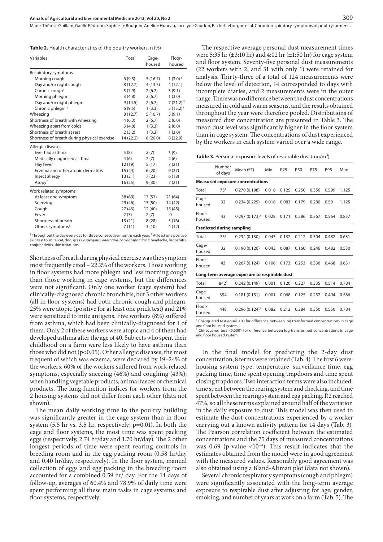**Table 2.** Health characteristics of the poultry workers, n (%)

| Variables                                                                                                      | Total     | Cage-<br>housed | Floor-<br>housed |
|----------------------------------------------------------------------------------------------------------------|-----------|-----------------|------------------|
| Respiratory symptoms                                                                                           |           |                 |                  |
| Morning cough                                                                                                  | 6(9.5)    | 5(16.7)         | $1(3.0)^4$       |
| Day and/or night cough                                                                                         | 8(12.7)   | 4(13.3)         | 4(12.1)          |
| Chronic cough <sup>1</sup>                                                                                     | 5(7.9)    | 2(6.7)          | 3(9.1)           |
| Morning phlegm                                                                                                 | 3(4.8)    | 2(6.7)          | 1(3.0)           |
| Day and/or night phlegm                                                                                        | 9(14.5)   | 2(6.7)          | $7(21.2)^{5}$    |
| Chronic phlegm <sup>1</sup>                                                                                    | 6(9.5)    | 1(3.3)          | $5(15.2)^{5}$    |
| Wheezing                                                                                                       | 8(12.7)   | 5(16.7)         | 3(9.1)           |
| Shortness of breath with wheezing                                                                              | 4(6.3)    | 2(6.7)          | 2(6.0)           |
| Wheezing apart from colds                                                                                      | 3(4.8)    | 1(3.3)          | 2(6.0)           |
| Shortness of breath at rest                                                                                    | 2(3.2)    | 1(3.3)          | 1(3.0)           |
| Shortness of breath during physical exercise                                                                   | 14 (22.2) | 6(20.0)         | 8(22.9)          |
| Allergic diseases                                                                                              |           |                 |                  |
| Ever had asthma                                                                                                | 5(8)      | 2(7)            | 3(9)             |
| Medically diagnosed asthma                                                                                     | 4(6)      | 2(7)            | 2(6)             |
| Hay fever                                                                                                      | 12 (19)   | 5(17)           | 7(21)            |
| Eczema and other atopic dermatitis                                                                             | 15 (24)   | 6(20)           | 9(27)            |
| Insect allergy                                                                                                 | 13(21)    | 7(23)           | 6(18)            |
| Atopy <sup>2</sup>                                                                                             | 16(25)    | 9(30)           | 7(21)            |
| Work related symptoms                                                                                          |           |                 |                  |
| At least one symptom                                                                                           | 38(60)    | 17(57)          | 21 (64)          |
| Sneezing                                                                                                       | 29(46)    | 15(50)          | 14 (42)          |
| Cough                                                                                                          | 27(43)    | 12(40)          | 15(45)           |
| Fever                                                                                                          | 2(3)      | 2(7)            | $\Omega$         |
| Shortness of breath                                                                                            | 13(21)    | 8(28)           | 5(16)            |
| Others symptoms <sup>3</sup>                                                                                   | 7(11)     | 3(10)           | 4(12)            |
| 1 Thursday in the collection of the first contract the contract of the collection 2 At location of the collect |           |                 |                  |

1 <sup>1</sup> Throughout the day every day for three consecutive months each year; <sup>2</sup> At least one positive<br>skin test to: mite, cat, dog, grass, *aspergillus, alternaria, or cladosporium;* 3: headache, bronchitis, conjunctivitis, skin irritations.

Shortness of breath during physical exercise was the symptom most frequently cited – 22.2% of the workers. Those working in floor systems had more phlegm and less morning cough than those working in cage systems, but the differences were not significant. Only one worker (cage system) had clinically-diagnosed chronic bronchitis, but 3 other workers (all in floor systems) had both chronic cough and phlegm. 25% were atopic (positive for at least one prick test) and 21% were sensitized to mite antigens. Five workers (8%) suffered from asthma, which had been clinically-diagnosed for 4 of them. Only 2 of these workers were atopic and 4 of them had developed asthma after the age of 40. Subjects who spent their childhood on a farm were less likely to have asthma than those who did not (p<0.05). Other allergic diseases, the most frequent of which was eczema, were declared by 19–24% of the workers. 60% of the workers suffered from work-related symptoms, especially sneezing (46%) and coughing (43%), when handling vegetable products, animal faeces or chemical products. The lung function indices for workers from the 2 housing systems did not differ from each other (data not shown).

The mean daily working time in the poultry building was significantly greater in the cage system than in floor system (5.5 hr vs. 3.5 hr, respectively; p=0.01). In both the cage and floor systems, the most time was spent packing eggs (respectively, 2.74 hr/day and 1.70 hr/day). The 2 other longest periods of time were spent rearing controls in breeding room and in the egg packing room (0.58 hr/day and 0.40 hr/day, respectively). In the floor system, manual collection of eggs and egg packing in the breeding room accounted for a combined 0.59 hr/ day. For the 14 days of follow-up, averages of 60.4% and 78.9% of daily time were spent performing all these main tasks in cage systems and floor systems, respectively.

The respective average personal dust measurement times were 5:35 hr  $(\pm 3:10 \text{ hr})$  and 4:02 hr  $(\pm 1:50 \text{ hr})$  for cage system and floor system. Seventy-five personal dust measurements (22 workers with 2, and 31 with only 1) were retained for analysis. Thirty-three of a total of 124 measurements were below the level of detection, 14 corresponded to days with incomplete diaries, and 2 measurements were in the outer range. There was no difference between the dust concentrations measured in cold and warm seasons, and the results obtained throughout the year were therefore pooled. Distributions of measured dust concentration are presented in Table 3. The mean dust level was significantly higher in the floor system than in cage system. The concentrations of dust experienced by the workers in each system varied over a wide range.

Table 3. Personal exposure levels of respirable dust (mg/m<sup>3</sup>)

|                  | Number<br>of days                       | Mean (ET)                                                                                     | Min   | P <sub>25</sub> | P50   | P75   | P95   | Max   |
|------------------|-----------------------------------------|-----------------------------------------------------------------------------------------------|-------|-----------------|-------|-------|-------|-------|
|                  | <b>Measured exposure concentrations</b> |                                                                                               |       |                 |       |       |       |       |
| Total            | 75 <sup>1</sup>                         | 0.270(0.198)                                                                                  | 0.018 | 0.125           | 0.250 | 0.356 | 0.599 | 1.125 |
| Cage-<br>housed  | 32                                      | 0.234(0.225)                                                                                  | 0.018 | 0.083           | 0.179 | 0.280 | 0.59  | 1.125 |
| Floor-<br>housed | 43                                      | $0.297(0.173)^1$                                                                              | 0.028 | 0.171           | 0.286 | 0.367 | 0.564 | 0.857 |
|                  | <b>Predicted during sampling</b>        |                                                                                               |       |                 |       |       |       |       |
| Total            | 75 <sup>1</sup>                         | 0.234(0.130)                                                                                  | 0.043 | 0.132           | 0.212 | 0.304 | 0.482 | 0.631 |
| Cage-<br>housed  | 32                                      | 0.190(0.126)                                                                                  | 0.043 | 0.087           | 0.160 | 0.246 | 0.482 | 0.530 |
| Floor-<br>housed | 43                                      | 0.267(0.124)                                                                                  | 0.106 | 0.173           | 0.253 | 0.336 | 0.468 | 0.631 |
|                  |                                         | Long-term average exposure to respirable dust                                                 |       |                 |       |       |       |       |
| Total            | 842 <sup>2</sup>                        | 0.242(0.149)                                                                                  | 0.001 | 0.120           | 0.227 | 0.335 | 0.514 | 0.784 |
| Cage-<br>housed  | 394                                     | 0.181(0.151)                                                                                  | 0.001 | 0.068           | 0.125 | 0.252 | 0.494 | 0.586 |
| Floor-<br>housed | 448                                     | $0.296(0.124)^2$                                                                              | 0.082 | 0.212           | 0.284 | 0.350 | 0.550 | 0.784 |
|                  |                                         | $1$ Chi-squared test equal 0.03 for difference between log transformed concentrations in cage |       |                 |       |       |       |       |

and floor housed system;

<sup>2</sup> Chi-squared test <0.0001 for difference between log transformed concentrations in cage and floor housed system

In the final model for predicting the 2-day dust concentration, 8 terms were retained (Tab. 4). The first 6 were: housing system type, temperature, surveillance time, egg packing time, time spent opening trapdoors and time spent closing trapdoors. Two interaction terms were also included: time spent between the rearing system and checking, and time spent between the rearing system and egg packing. R2 reached 47%, so all these terms explained around half of the variation in the daily exposure to dust. This model was then used to estimate the dust concentrations experienced by a worker carrying out a known activity pattern for 14 days (Tab. 3). The Pearson correlation coefficient between the estimated concentrations and the 75 days of measured concentrations was 0.69 (p-value  $\langle 10^{-4} \rangle$ . This result indicates that the estimates obtained from the model were in good agreement with the measured values. Reasonably good agreement was also obtained using a Bland-Altman plot (data not shown).

Several chronic respiratory symptoms (cough and phlegm) were significantly associated with the long-term average exposure to respirable dust after adjusting for age, gender, smoking, and number of years at work on a farm (Tab. 5). The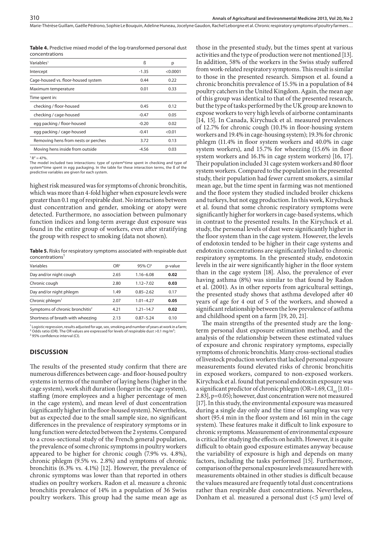**Table 4.** Predictive mixed model of the log-transformed personal dust concentrations

| Variables <sup>1</sup>              | ß       | р        |
|-------------------------------------|---------|----------|
| Intercept                           | $-1.35$ | < 0.0001 |
| Cage-housed vs. floor-housed system | 0.44    | 0.22     |
| Maximum temperature                 | 0.01    | 0.33     |
| Time spent in:                      |         |          |
| checking / floor-housed             | 0.45    | 0.12     |
| checking / cage-housed              | $-0.47$ | 0.05     |
| egg packing / floor-housed          | $-0.20$ | 0.02     |
| egg packing / cage-housed           | $-0.41$ | < 0.01   |
| Removing hens from nests or perches | 3.72    | 0.13     |
| Moving hens inside from outside     | $-4.56$ | 0.03     |
|                                     |         |          |

 $1 R^2 = 47\%$ .

The model included two interactions: type of system\*time spent in checking and type of system\*time spent in egg packaging. In the table for these interaction terms, the ß of the predictive variables are given for each system.

highest risk measured was for symptoms of chronic bronchitis, which was more than 4-fold higher when exposure levels were greater than 0.1 mg of respirable dust. No interactions between dust concentration and gender, smoking or atopy were detected. Furthermore, no association between pulmonary function indices and long-term average dust exposure was found in the entire group of workers, even after stratifying the group with respect to smoking (data not shown).

**Table 5.** Risks for respiratory symptoms associated with respirable dust concentrations

| Variables                                   | OR <sup>2</sup> | 95% CI <sup>3</sup> | p-value |
|---------------------------------------------|-----------------|---------------------|---------|
| Day and/or night cough                      | 2.65            | $1.16 - 6.08$       | 0.02    |
| Chronic cough                               | 2.80            | $1.12 - 7.02$       | 0.03    |
| Day and/or night phlegm                     | 1.49            | $0.85 - 2.62$       | 0.17    |
| Chronic phlegm <sup>1</sup>                 | 2.07            | $1.01 - 4.27$       | 0.05    |
| Symptoms of chronic bronchitis <sup>2</sup> | 4.21            | $1.21 - 14.7$       | 0.02    |
| Shortness of breath with wheezing           | 2.13            | $0.87 - 5.24$       | 0.10    |

<sup>1</sup> Logistic regression, results adjusted for age, sex, smoking and number of years at work in a farm;<br><sup>2</sup> Odds ratio (OR). The OR values are expressed for levels of respirable dust >0.1 mg/m<sup>3</sup>;<br><sup>3</sup> OS% confidence interv <sup>3</sup> 95% confidence interval (CI).

#### **Discussion**

The results of the presented study confirm that there are numerous differences between cage- and floor-housed poultry systems in terms of the number of laying hens (higher in the cage system), work shift duration (longer in the cage system), staffing (more employees and a higher percentage of men in the cage system), and mean level of dust concentration (significantly higher in the floor-housed system). Nevertheless, but as expected due to the small sample size, no significant differences in the prevalence of respiratory symptoms or in lung function were detected between the 2 systems. Compared to a cross-sectional study of the French general population, the prevalence of some chronic symptoms in poultry workers appeared to be higher for chronic cough (7.9% vs. 4.8%), chronic phlegm (9.5% vs. 2.8%) and symptoms of chronic bronchitis (6.3% vs. 4.1%) [12]. However, the prevalence of chronic symptoms was lower than that reported in others studies on poultry workers. Radon et al. measure a chronic bronchitis prevalence of 14% in a population of 36 Swiss poultry workers. This group had the same mean age as

those in the presented study, but the times spent at various activities and the type of production were not mentioned [13]. In addition, 58% of the workers in the Swiss study suffered from work-related respiratory symptoms. This result is similar to those in the presented research. Simpson et al. found a chronic bronchitis prevalence of 15.5% in a population of 84 poultry catchers in the United Kingdom. Again, the mean age of this group was identical to that of the presented research, but the type of tasks performed by the UK group are known to expose workers to very high levels of airborne contaminants [14, 15]. In Canada, Kirychuck et al. measured prevalences of 12.7% for chronic cough (10.1% in floor-housing system workers and 19.4% in cage-housing system); 19.3% for chronic phlegm (11.4% in floor system workers and 40.0% in cage system workers), and 15.7% for wheezing (15.6% in floor system workers and 16.1% in cage system workers) [16, 17]. Their population included 31 cage system workers and 80 floor system workers. Compared to the population in the presented study, their population had fewer current smokers, a similar mean age, but the time spent in farming was not mentioned and the floor system they studied included broiler chickens and turkeys, but not egg production. In this work, Kirychuck et al. found that some chronic respiratory symptoms were significantly higher for workers in cage-based systems, which in contrast to the presented results. In the Kirychuck et al. study, the personal levels of dust were significantly higher in the floor system than in the cage system. However, the levels of endotoxin tended to be higher in their cage systems and endotoxin concentrations are significantly linked to chronic respiratory symptoms. In the presented study, endotoxin levels in the air were significantly higher in the floor system than in the cage system [18]. Also, the prevalence of ever having asthma (8%) was similar to that found by Radon et al. (2001). As in other reports from agricultural settings, the presented study shows that asthma developed after 40 years of age for 4 out of 5 of the workers, and showed a significant relationship between the low prevalence of asthma and childhood spent on a farm [19, 20, 21].

The main strengths of the presented study are the longterm personal dust exposure estimation method, and the analysis of the relationship between these estimated values of exposure and chronic respiratory symptoms, especially symptoms of chronic bronchitis. Many cross-sectional studies of livestock production workers that lacked personal exposure measurements found elevated risks of chronic bronchitis in exposed workers, compared to non-exposed workers. Kirychuck et al. found that personal endotoxin exposure was a significant predictor of chronic phlegm (OR=1.69,  $CI_{\text{os}}$  [1.01– 2.83], p=0.05); however, dust concentration were not measured [17]. In this study, the environmental exposure was measured during a single day only and the time of sampling was very short (95.4 min in the floor system and 161 min in the cage system). These features make it difficult to link exposure to chronic symptoms. Measurement of environmental exposure is critical for studying the effects on health. However, it is quite difficult to obtain good exposure estimates anyway because the variability of exposure is high and depends on many factors, including the tasks performed [15]. Furthermore, comparison of the personal exposure levels measured here with measurements obtained in other studies is difficult because the values measured are frequently total dust concentrations rather than respirable dust concentrations. Nevertheless, Donham et al. measured a personal dust (<5 μm) level of